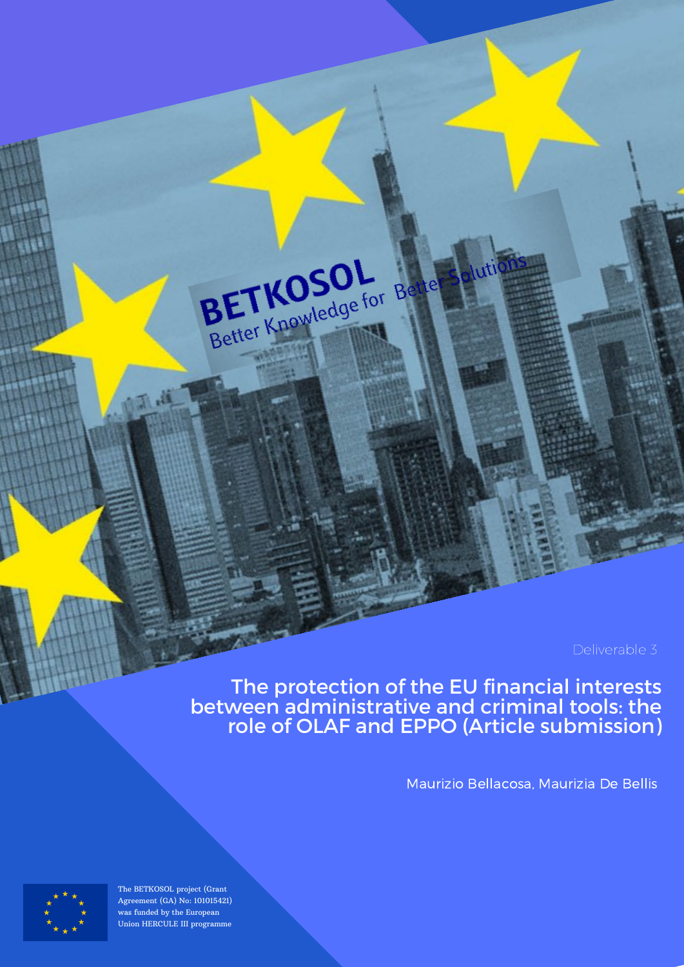The protection of the EU financial interests between administrative and criminal tools: the role of OLAF and EPPO (Article submission)

BETKOSOL Better Knowledge for Be

Maurizio Bellacosa, Maurizia De Bellis



The BETKOSOL project (Grant Agreement (GA) No: 101015421) was funded by the European Union HERCULE III programme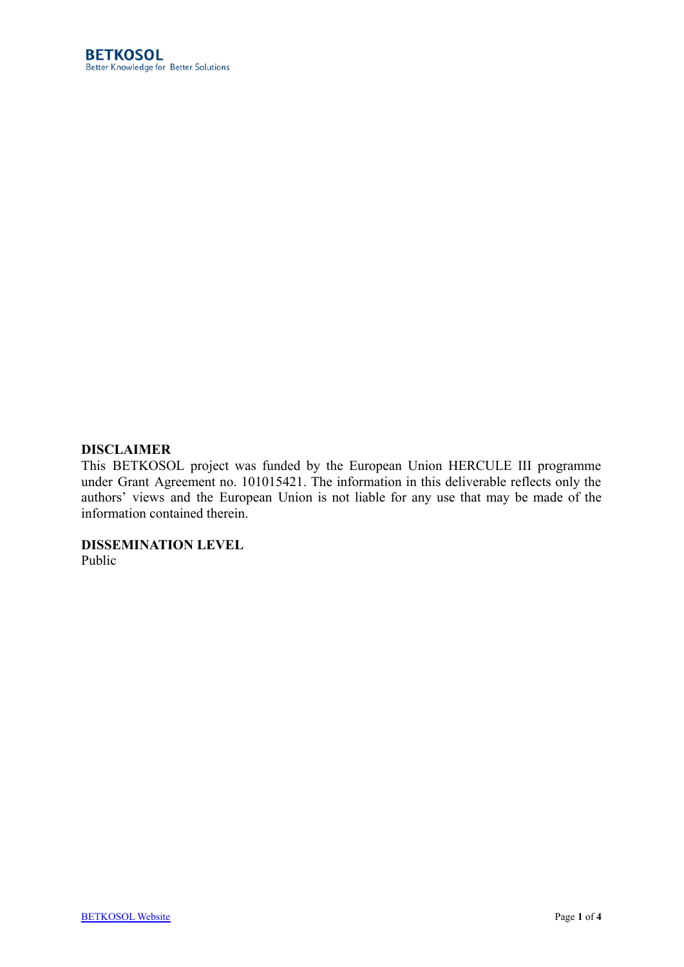### **DISCLAIMER**

This BETKOSOL project was funded by the European Union HERCULE III programme under Grant Agreement no. 101015421. The information in this deliverable reflects only the authors' views and the European Union is not liable for any use that may be made of the information contained therein.

**DISSEMINATION LEVEL**

Public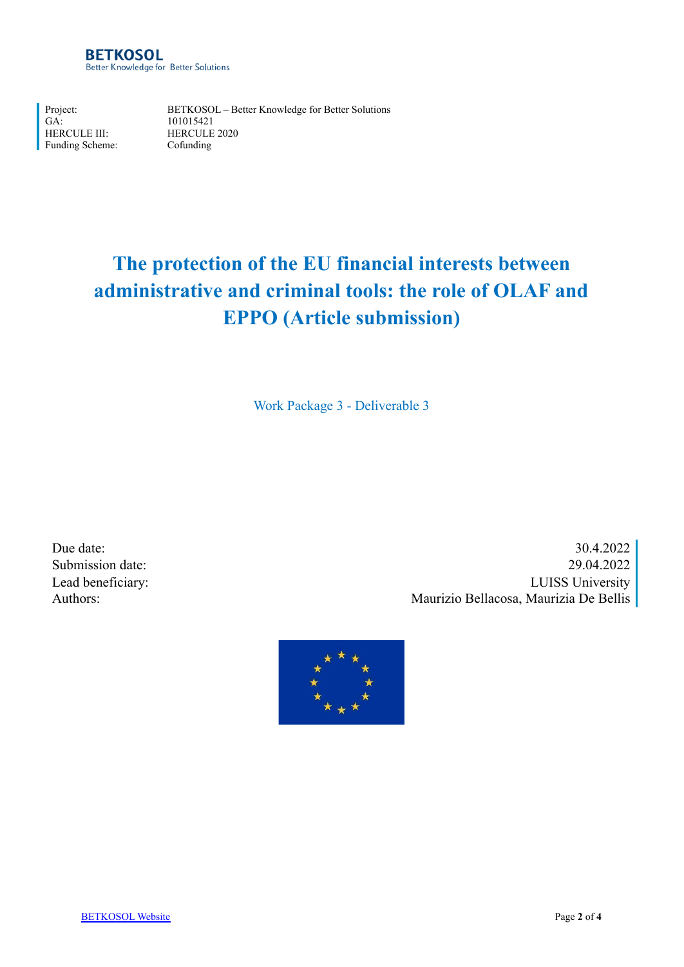Project: GA: HERCULE III: Funding Scheme:

BETKOSOL – Better Knowledge for Better Solutions 101015421 HERCULE 2020 Cofunding

# **The protection of the EU financial interests between administrative and criminal tools: the role of OLAF and EPPO (Article submission)**

Work Package 3 - Deliverable 3

Due date: 30.4.2022 Submission date: 29.04.2022 Lead beneficiary: LUISS University Authors: Maurizio Bellacosa, Maurizia De Bellis

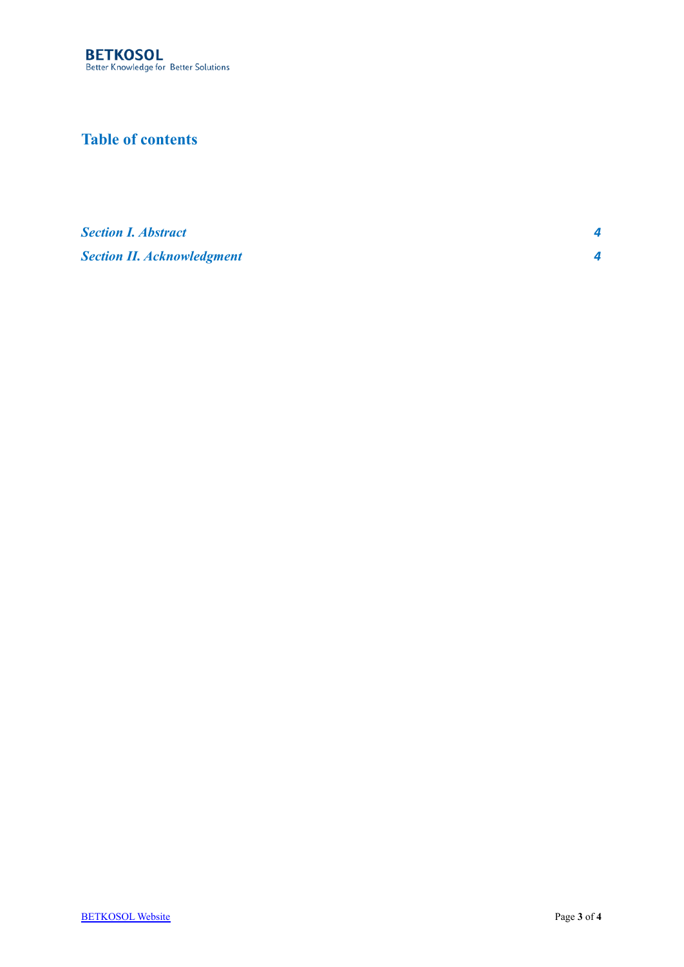## **Table of contents**

*[Section I.](#page-4-0) Abstract 4 [Section II. Acknowledgment](#page-4-1) 4*